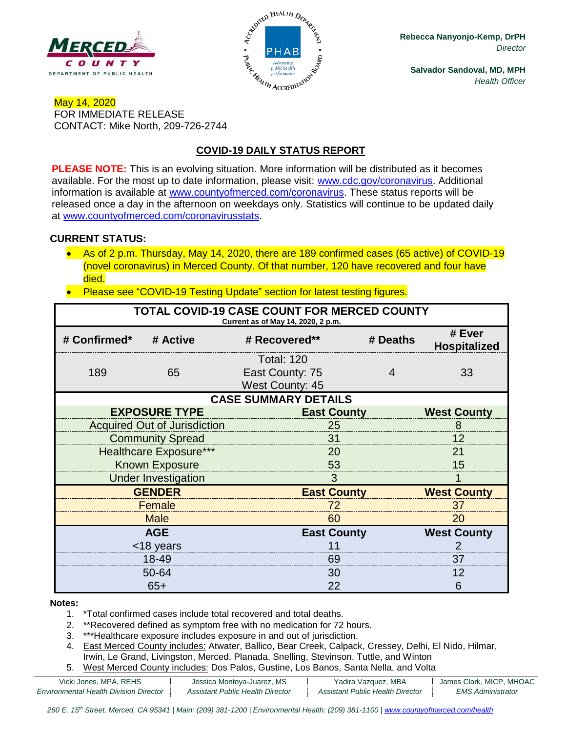



**Rebecca Nanyonjo-Kemp, DrPH** *Director*

**Salvador Sandoval, MD, MPH** *Health Officer*

## May 14, 2020 FOR IMMEDIATE RELEASE CONTACT: Mike North, 209-726-2744

# **COVID-19 DAILY STATUS REPORT**

**PLEASE NOTE:** This is an evolving situation. More information will be distributed as it becomes available. For the most up to date information, please visit: [www.cdc.gov/coronavirus.](http://www.cdc.gov/coronavirus) Additional information is available at [www.countyofmerced.com/coronavirus.](http://www.countyofmerced.com/coronavirus) These status reports will be released once a day in the afternoon on weekdays only. Statistics will continue to be updated daily at [www.countyofmerced.com/coronavirusstats.](http://www.countyofmerced.com/coronavirusstats)

#### **CURRENT STATUS:**

- As of 2 p.m. Thursday, May 14, 2020, there are 189 confirmed cases (65 active) of COVID-19 (novel coronavirus) in Merced County. Of that number, 120 have recovered and four have died.
- Please see "COVID-19 Testing Update" section for latest testing figures.

| TOTAL COVID-19 CASE COUNT FOR MERCED COUNTY<br>Current as of May 14, 2020, 2 p.m. |                                     |                                           |          |                               |  |  |
|-----------------------------------------------------------------------------------|-------------------------------------|-------------------------------------------|----------|-------------------------------|--|--|
| # Confirmed*                                                                      | # Active                            | # Recovered**                             | # Deaths | # Ever<br><b>Hospitalized</b> |  |  |
|                                                                                   |                                     | <b>Total: 120</b>                         |          |                               |  |  |
| 189                                                                               | 65                                  | East County: 75<br><b>West County: 45</b> | 4        | 33                            |  |  |
| <b>CASE SUMMARY DETAILS</b>                                                       |                                     |                                           |          |                               |  |  |
|                                                                                   | <b>EXPOSURE TYPE</b>                | <b>East County</b>                        |          | <b>West County</b>            |  |  |
|                                                                                   | <b>Acquired Out of Jurisdiction</b> | 25                                        |          | 8                             |  |  |
|                                                                                   | <b>Community Spread</b>             | 31                                        |          |                               |  |  |
| <b>Healthcare Exposure***</b>                                                     |                                     | 20                                        |          | 21                            |  |  |
| <b>Known Exposure</b>                                                             |                                     | 53                                        |          | 15                            |  |  |
| <b>Under Investigation</b>                                                        |                                     | 3                                         |          |                               |  |  |
| <b>GENDER</b>                                                                     |                                     | <b>East County</b>                        |          | <b>West County</b>            |  |  |
| Female                                                                            |                                     | 72                                        |          | 37                            |  |  |
| <b>Male</b>                                                                       |                                     | 60                                        |          | 20                            |  |  |
| <b>AGE</b>                                                                        |                                     | <b>East County</b>                        |          | <b>West County</b>            |  |  |
| <18 years                                                                         |                                     |                                           |          | 2                             |  |  |
| 18-49                                                                             |                                     | 69                                        |          |                               |  |  |
| 50-64                                                                             |                                     | 30                                        |          |                               |  |  |
| $65+$                                                                             |                                     | 22                                        |          | 6                             |  |  |

#### **Notes:**

- 1. \*Total confirmed cases include total recovered and total deaths.
- 2. \*\*Recovered defined as symptom free with no medication for 72 hours.
- 3. \*\*\*Healthcare exposure includes exposure in and out of jurisdiction.
- 4. East Merced County includes: Atwater, Ballico, Bear Creek, Calpack, Cressey, Delhi, El Nido, Hilmar, Irwin, Le Grand, Livingston, Merced, Planada, Snelling, Stevinson, Tuttle, and Winton
- 5. West Merced County includes: Dos Palos, Gustine, Los Banos, Santa Nella, and Volta

| Vicki Jones, MPA, REHS                        | Jessica Montoya-Juarez, MS       | Yadira Vazquez, MBA              | James Clark, MICP, MHOAC |
|-----------------------------------------------|----------------------------------|----------------------------------|--------------------------|
| <b>Environmental Health Division Director</b> | Assistant Public Health Director | Assistant Public Health Director | <i>EMS Administrator</i> |

260 E. 15<sup>th</sup> Street, Merced, CA 95341 | Main: (209) 381-1200 | Environmental Health: (209) 381-1100 | [www.countyofmerced.com/health](http://www.countyofmerced.com/health)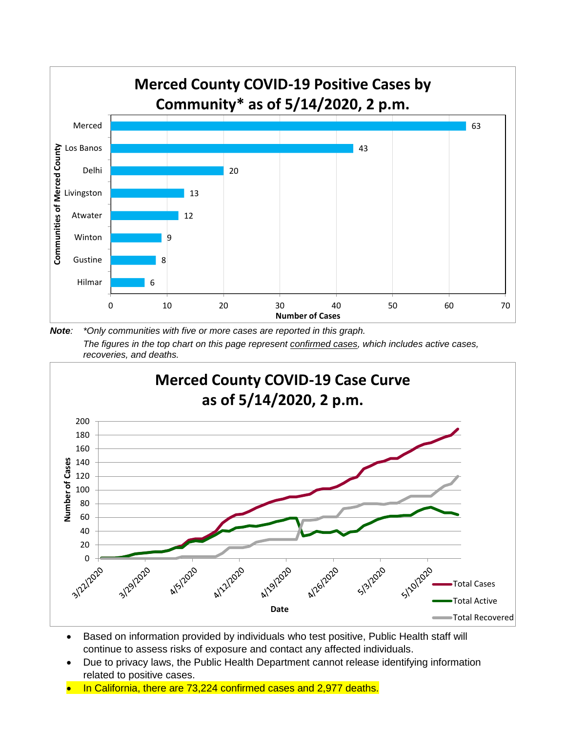

*Note: \*Only communities with five or more cases are reported in this graph. The figures in the top chart on this page represent confirmed cases, which includes active cases, recoveries, and deaths.*



- Based on information provided by individuals who test positive, Public Health staff will continue to assess risks of exposure and contact any affected individuals.
- Due to privacy laws, the Public Health Department cannot release identifying information related to positive cases.
- In California, there are 73,224 confirmed cases and 2,977 deaths.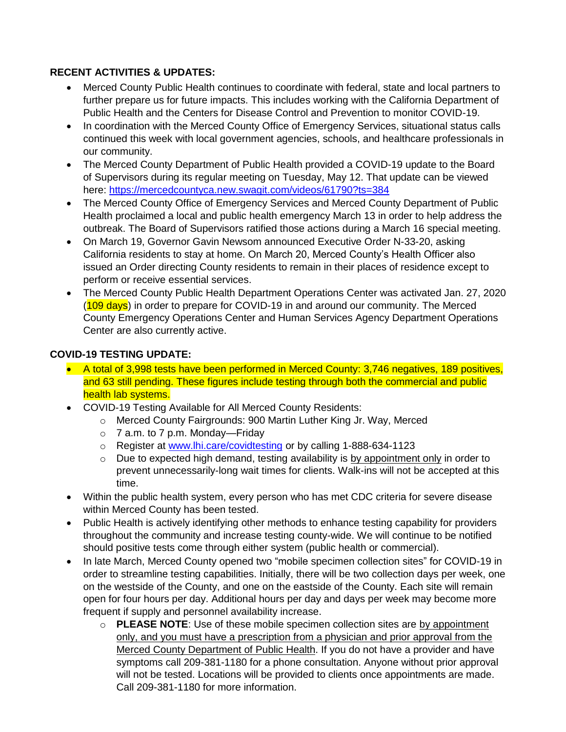## **RECENT ACTIVITIES & UPDATES:**

- Merced County Public Health continues to coordinate with federal, state and local partners to further prepare us for future impacts. This includes working with the California Department of Public Health and the Centers for Disease Control and Prevention to monitor COVID-19.
- In coordination with the Merced County Office of Emergency Services, situational status calls continued this week with local government agencies, schools, and healthcare professionals in our community.
- The Merced County Department of Public Health provided a COVID-19 update to the Board of Supervisors during its regular meeting on Tuesday, May 12. That update can be viewed here:<https://mercedcountyca.new.swagit.com/videos/61790?ts=384>
- The Merced County Office of Emergency Services and Merced County Department of Public Health proclaimed a local and public health emergency March 13 in order to help address the outbreak. The Board of Supervisors ratified those actions during a March 16 special meeting.
- On March 19, Governor Gavin Newsom announced Executive Order N-33-20, asking California residents to stay at home. On March 20, Merced County's Health Officer also issued an Order directing County residents to remain in their places of residence except to perform or receive essential services.
- The Merced County Public Health Department Operations Center was activated Jan. 27, 2020 (109 days) in order to prepare for COVID-19 in and around our community. The Merced County Emergency Operations Center and Human Services Agency Department Operations Center are also currently active.

#### **COVID-19 TESTING UPDATE:**

- A total of 3,998 tests have been performed in Merced County: 3,746 negatives, 189 positives, and 63 still pending. These figures include testing through both the commercial and public health lab systems.
- COVID-19 Testing Available for All Merced County Residents:
	- o Merced County Fairgrounds: 900 Martin Luther King Jr. Way, Merced
	- o 7 a.m. to 7 p.m. Monday—Friday
	- o Register at [www.lhi.care/covidtesting](http://www.lhi.care/covidtesting) or by calling 1-888-634-1123
	- o Due to expected high demand, testing availability is by appointment only in order to prevent unnecessarily-long wait times for clients. Walk-ins will not be accepted at this time.
- Within the public health system, every person who has met CDC criteria for severe disease within Merced County has been tested.
- Public Health is actively identifying other methods to enhance testing capability for providers throughout the community and increase testing county-wide. We will continue to be notified should positive tests come through either system (public health or commercial).
- In late March, Merced County opened two "mobile specimen collection sites" for COVID-19 in order to streamline testing capabilities. Initially, there will be two collection days per week, one on the westside of the County, and one on the eastside of the County. Each site will remain open for four hours per day. Additional hours per day and days per week may become more frequent if supply and personnel availability increase.
	- o **PLEASE NOTE**: Use of these mobile specimen collection sites are by appointment only, and you must have a prescription from a physician and prior approval from the Merced County Department of Public Health. If you do not have a provider and have symptoms call 209-381-1180 for a phone consultation. Anyone without prior approval will not be tested. Locations will be provided to clients once appointments are made. Call 209-381-1180 for more information.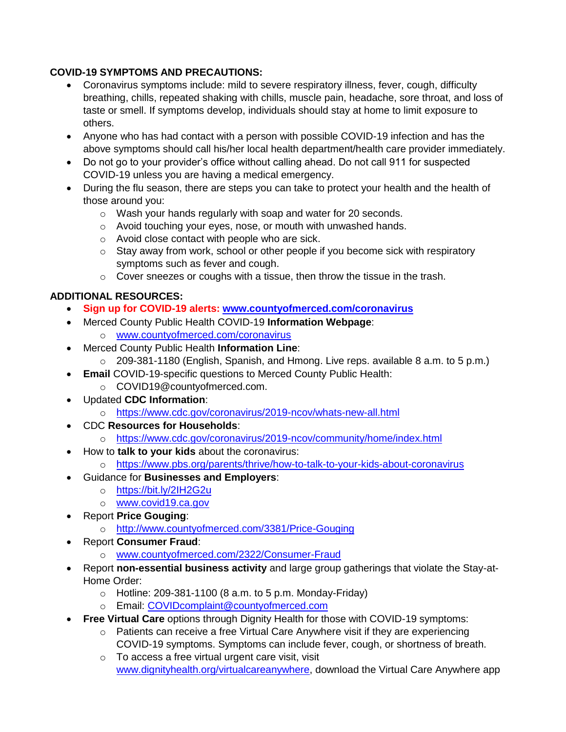## **COVID-19 SYMPTOMS AND PRECAUTIONS:**

- Coronavirus symptoms include: mild to severe respiratory illness, fever, cough, difficulty breathing, chills, repeated shaking with chills, muscle pain, headache, sore throat, and loss of taste or smell. If symptoms develop, individuals should stay at home to limit exposure to others.
- Anyone who has had contact with a person with possible COVID-19 infection and has the above symptoms should call his/her local health department/health care provider immediately.
- Do not go to your provider's office without calling ahead. Do not call 911 for suspected COVID-19 unless you are having a medical emergency.
- During the flu season, there are steps you can take to protect your health and the health of those around you:
	- o Wash your hands regularly with soap and water for 20 seconds.
	- o Avoid touching your eyes, nose, or mouth with unwashed hands.
	- o Avoid close contact with people who are sick.
	- $\circ$  Stay away from work, school or other people if you become sick with respiratory symptoms such as fever and cough.
	- $\circ$  Cover sneezes or coughs with a tissue, then throw the tissue in the trash.

# **ADDITIONAL RESOURCES:**

- **Sign up for COVID-19 alerts: [www.countyofmerced.com/coronavirus](http://www.countyofmerced.com/coronavirus)**
- Merced County Public Health COVID-19 **Information Webpage**:
	- o [www.countyofmerced.com/coronavirus](http://www.countyofmerced.com/coronavirus)
- Merced County Public Health **Information Line**:
	- o 209-381-1180 (English, Spanish, and Hmong. Live reps. available 8 a.m. to 5 p.m.)
- **Email** COVID-19-specific questions to Merced County Public Health:
	- o COVID19@countyofmerced.com.
- Updated **CDC Information**:
	- o <https://www.cdc.gov/coronavirus/2019-ncov/whats-new-all.html>
- CDC **Resources for Households**:
	- o <https://www.cdc.gov/coronavirus/2019-ncov/community/home/index.html>
- How to **talk to your kids** about the coronavirus:
	- o <https://www.pbs.org/parents/thrive/how-to-talk-to-your-kids-about-coronavirus>
- Guidance for **Businesses and Employers**:
	- o <https://bit.ly/2IH2G2u>
	- o [www.covid19.ca.gov](http://www.covid19.ca.gov/)
- Report **Price Gouging**:
	- o <http://www.countyofmerced.com/3381/Price-Gouging>
- Report **Consumer Fraud**:
	- o [www.countyofmerced.com/2322/Consumer-Fraud](http://www.countyofmerced.com/2322/Consumer-Fraud)
- Report **non-essential business activity** and large group gatherings that violate the Stay-at-Home Order:
	- $\circ$  Hotline: 209-381-1100 (8 a.m. to 5 p.m. Monday-Friday)
	- o Email: [COVIDcomplaint@countyofmerced.com](mailto:COVIDcomplaint@countyofmerced.com)
- **Free Virtual Care** options through Dignity Health for those with COVID-19 symptoms:
	- o Patients can receive a free Virtual Care Anywhere visit if they are experiencing COVID-19 symptoms. Symptoms can include fever, cough, or shortness of breath.
	- o To access a free virtual urgent care visit, visit [www.dignityhealth.org/virtualcareanywhere,](http://www.dignityhealth.org/virtualcareanywhere) download the Virtual Care Anywhere app